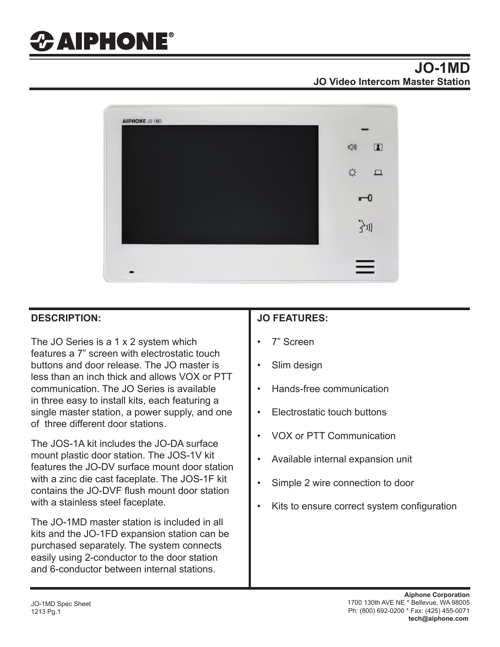# *CAIPHONE®*

## **JO-1MD JO Video Intercom Master Station**



#### **DESCRIPTION:**

The JO Series is a 1 x 2 system which features a 7" screen with electrostatic touch buttons and door release. The JO master is less than an inch thick and allows VOX or PTT communication. The JO Series is available in three easy to install kits, each featuring a single master station, a power supply, and one of three different door stations.

The JOS-1A kit includes the JO-DA surface mount plastic door station. The JOS-1V kit features the JO-DV surface mount door station with a zinc die cast faceplate. The JOS-1F kit contains the JO-DVF flush mount door station with a stainless steel faceplate.

The JO-1MD master station is included in all kits and the JO-1FD expansion station can be purchased separately. The system connects easily using 2-conductor to the door station and 6-conductor between internal stations.

## **JO FEATURES:**

- 7" Screen
- Slim design
- Hands-free communication
- Electrostatic touch buttons
- VOX or PTT Communication
- Available internal expansion unit
- Simple 2 wire connection to door
- Kits to ensure correct system configuration